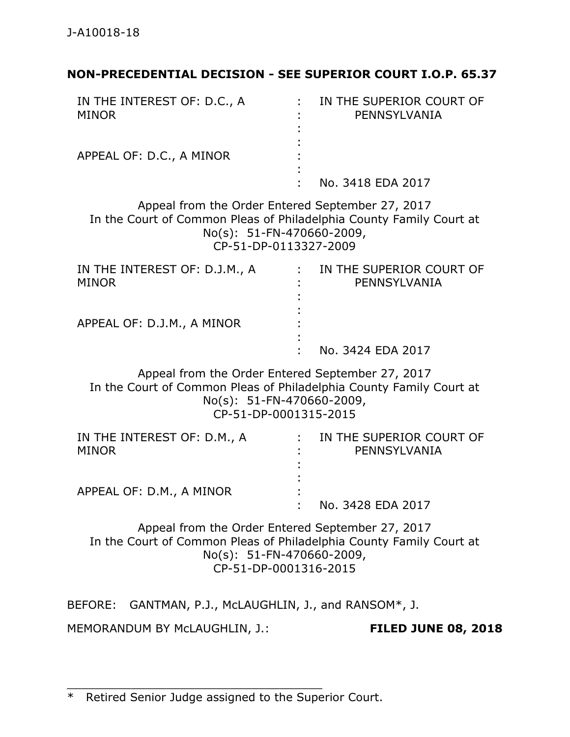## **NON-PRECEDENTIAL DECISION - SEE SUPERIOR COURT I.O.P. 65.37**

| IN THE INTEREST OF: D.C., A<br><b>MINOR</b>                                                                                                                                     | IN THE SUPERIOR COURT OF<br>PENNSYLVANIA |
|---------------------------------------------------------------------------------------------------------------------------------------------------------------------------------|------------------------------------------|
| APPEAL OF: D.C., A MINOR                                                                                                                                                        |                                          |
|                                                                                                                                                                                 | No. 3418 EDA 2017                        |
| Appeal from the Order Entered September 27, 2017<br>In the Court of Common Pleas of Philadelphia County Family Court at<br>No(s): 51-FN-470660-2009,<br>CP-51-DP-0113327-2009   |                                          |
| IN THE INTEREST OF: D.J.M., A<br><b>MINOR</b>                                                                                                                                   | IN THE SUPERIOR COURT OF<br>PENNSYLVANIA |
| APPEAL OF: D.J.M., A MINOR                                                                                                                                                      |                                          |
|                                                                                                                                                                                 | No. 3424 EDA 2017                        |
| Appeal from the Order Entered September 27, 2017<br>In the Court of Common Pleas of Philadelphia County Family Court at<br>No(s): 51-FN-470660-2009,<br>CP-51-DP-0001315-2015   |                                          |
| IN THE INTEREST OF: D.M., A<br><b>MINOR</b>                                                                                                                                     | IN THE SUPERIOR COURT OF<br>PENNSYLVANIA |
| APPEAL OF: D.M., A MINOR                                                                                                                                                        | No. 3428 EDA 2017                        |
| Appeal from the Order Entered September 27, 2017<br>In the Court of Common Pleas of Philadelphia County Family Court at<br>$No(s): 51-FN-470660-2009,$<br>CP-51-DP-0001316-2015 |                                          |
| BEFORE: GANTMAN, P.J., McLAUGHLIN, J., and RANSOM*, J.                                                                                                                          |                                          |
| MEMORANDUM BY McLAUGHLIN, J.:                                                                                                                                                   | <b>FILED JUNE 08, 2018</b>               |

\_\_\_\_\_\_\_\_\_\_\_\_\_\_\_\_\_\_\_\_\_\_\_\_\_\_\_\_\_\_\_\_\_\_\_\_

<sup>\*</sup> Retired Senior Judge assigned to the Superior Court.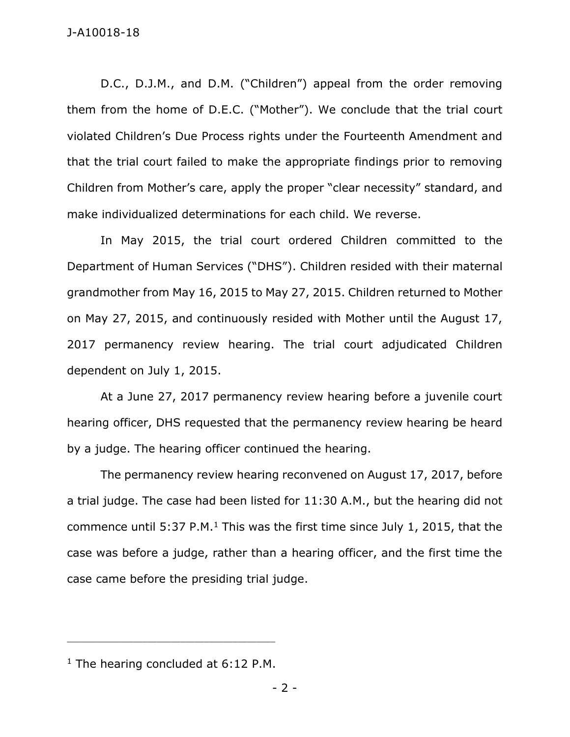D.C., D.J.M., and D.M. ("Children") appeal from the order removing them from the home of D.E.C. ("Mother"). We conclude that the trial court violated Children's Due Process rights under the Fourteenth Amendment and that the trial court failed to make the appropriate findings prior to removing Children from Mother's care, apply the proper "clear necessity" standard, and make individualized determinations for each child. We reverse.

In May 2015, the trial court ordered Children committed to the Department of Human Services ("DHS"). Children resided with their maternal grandmother from May 16, 2015 to May 27, 2015. Children returned to Mother on May 27, 2015, and continuously resided with Mother until the August 17, 2017 permanency review hearing. The trial court adjudicated Children dependent on July 1, 2015.

At a June 27, 2017 permanency review hearing before a juvenile court hearing officer, DHS requested that the permanency review hearing be heard by a judge. The hearing officer continued the hearing.

The permanency review hearing reconvened on August 17, 2017, before a trial judge. The case had been listed for 11:30 A.M., but the hearing did not commence until 5:37 P.M.<sup>1</sup> This was the first time since July 1, 2015, that the case was before a judge, rather than a hearing officer, and the first time the case came before the presiding trial judge.

 $1$  The hearing concluded at 6:12 P.M.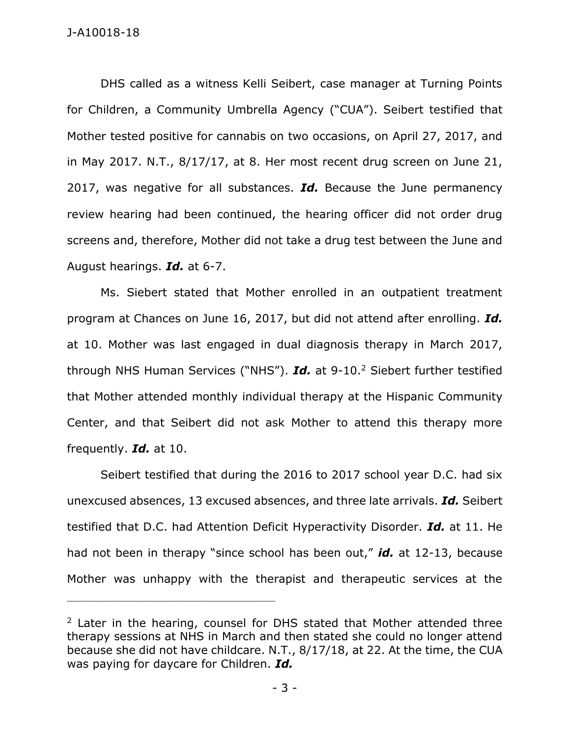DHS called as a witness Kelli Seibert, case manager at Turning Points for Children, a Community Umbrella Agency ("CUA"). Seibert testified that Mother tested positive for cannabis on two occasions, on April 27, 2017, and in May 2017. N.T., 8/17/17, at 8. Her most recent drug screen on June 21, 2017, was negative for all substances. *Id.* Because the June permanency review hearing had been continued, the hearing officer did not order drug screens and, therefore, Mother did not take a drug test between the June and August hearings. *Id.* at 6-7.

Ms. Siebert stated that Mother enrolled in an outpatient treatment program at Chances on June 16, 2017, but did not attend after enrolling. *Id.* at 10. Mother was last engaged in dual diagnosis therapy in March 2017, through NHS Human Services ("NHS"). *Id.* at 9-10.<sup>2</sup> Siebert further testified that Mother attended monthly individual therapy at the Hispanic Community Center, and that Seibert did not ask Mother to attend this therapy more frequently. *Id.* at 10.

Seibert testified that during the 2016 to 2017 school year D.C. had six unexcused absences, 13 excused absences, and three late arrivals. *Id.* Seibert testified that D.C. had Attention Deficit Hyperactivity Disorder. *Id.* at 11. He had not been in therapy "since school has been out," *id.* at 12-13, because Mother was unhappy with the therapist and therapeutic services at the

 $2$  Later in the hearing, counsel for DHS stated that Mother attended three therapy sessions at NHS in March and then stated she could no longer attend because she did not have childcare. N.T., 8/17/18, at 22. At the time, the CUA was paying for daycare for Children. *Id.*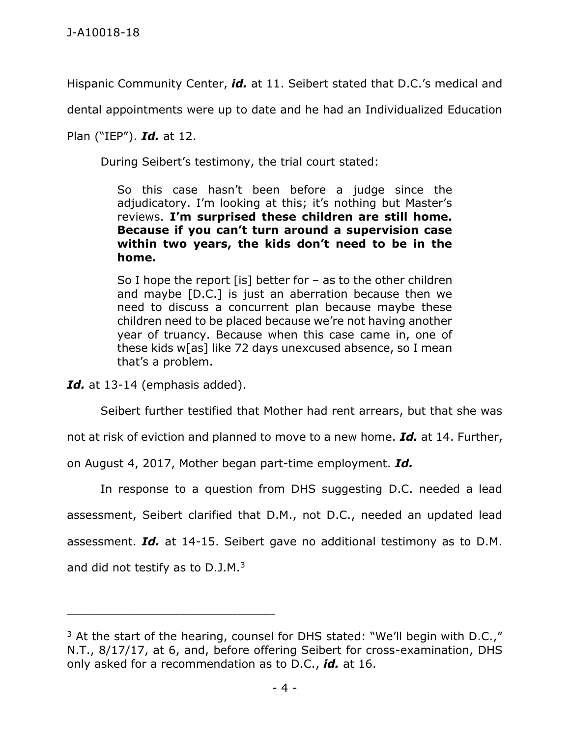Hispanic Community Center, *id.* at 11. Seibert stated that D.C.'s medical and

dental appointments were up to date and he had an Individualized Education

Plan ("IEP"). *Id.* at 12.

During Seibert's testimony, the trial court stated:

So this case hasn't been before a judge since the adjudicatory. I'm looking at this; it's nothing but Master's reviews. **I'm surprised these children are still home. Because if you can't turn around a supervision case within two years, the kids don't need to be in the home.**

So I hope the report [is] better for  $-$  as to the other children and maybe [D.C.] is just an aberration because then we need to discuss a concurrent plan because maybe these children need to be placed because we're not having another year of truancy. Because when this case came in, one of these kids w[as] like 72 days unexcused absence, so I mean that's a problem.

Id. at 13-14 (emphasis added).

\_\_\_\_\_\_\_\_\_\_\_\_\_\_\_\_\_\_\_\_\_\_\_\_\_\_\_\_\_\_\_\_\_\_\_\_\_\_\_\_\_\_\_\_

Seibert further testified that Mother had rent arrears, but that she was

not at risk of eviction and planned to move to a new home. *Id.* at 14. Further,

on August 4, 2017, Mother began part-time employment. *Id.*

In response to a question from DHS suggesting D.C. needed a lead assessment, Seibert clarified that D.M., not D.C., needed an updated lead assessment. *Id.* at 14-15. Seibert gave no additional testimony as to D.M. and did not testify as to D.J.M.<sup>3</sup>

 $3$  At the start of the hearing, counsel for DHS stated: "We'll begin with D.C.," N.T., 8/17/17, at 6, and, before offering Seibert for cross-examination, DHS only asked for a recommendation as to D.C., *id.* at 16.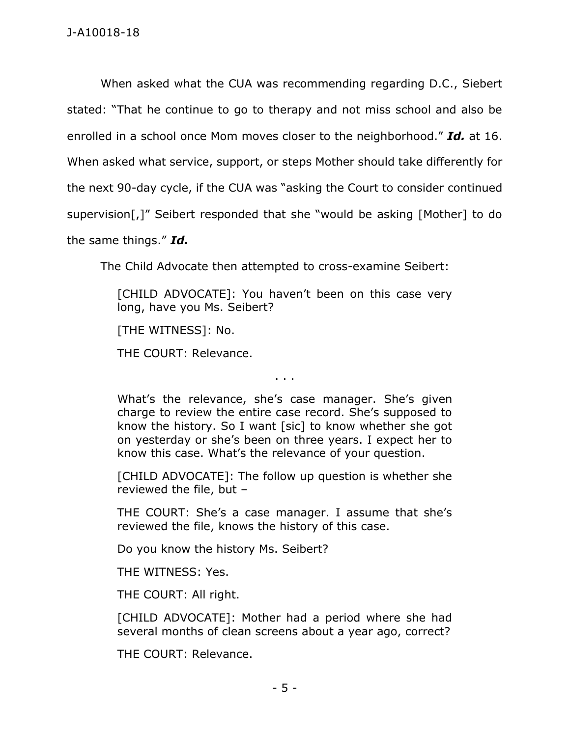When asked what the CUA was recommending regarding D.C., Siebert stated: "That he continue to go to therapy and not miss school and also be enrolled in a school once Mom moves closer to the neighborhood." *Id.* at 16. When asked what service, support, or steps Mother should take differently for the next 90-day cycle, if the CUA was "asking the Court to consider continued supervision[,]" Seibert responded that she "would be asking [Mother] to do the same things." *Id.*

The Child Advocate then attempted to cross-examine Seibert:

[CHILD ADVOCATE]: You haven't been on this case very long, have you Ms. Seibert?

[THE WITNESS]: No.

THE COURT: Relevance.

. . .

What's the relevance, she's case manager. She's given charge to review the entire case record. She's supposed to know the history. So I want [sic] to know whether she got on yesterday or she's been on three years. I expect her to know this case. What's the relevance of your question.

[CHILD ADVOCATE]: The follow up question is whether she reviewed the file, but –

THE COURT: She's a case manager. I assume that she's reviewed the file, knows the history of this case.

Do you know the history Ms. Seibert?

THE WITNESS: Yes.

THE COURT: All right.

[CHILD ADVOCATE]: Mother had a period where she had several months of clean screens about a year ago, correct?

THE COURT: Relevance.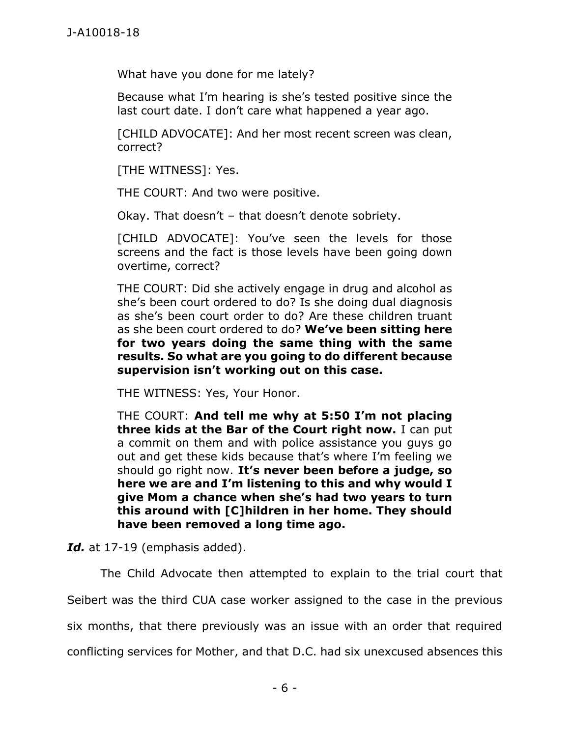What have you done for me lately?

Because what I'm hearing is she's tested positive since the last court date. I don't care what happened a year ago.

[CHILD ADVOCATE]: And her most recent screen was clean, correct?

[THE WITNESS]: Yes.

THE COURT: And two were positive.

Okay. That doesn't – that doesn't denote sobriety.

[CHILD ADVOCATE]: You've seen the levels for those screens and the fact is those levels have been going down overtime, correct?

THE COURT: Did she actively engage in drug and alcohol as she's been court ordered to do? Is she doing dual diagnosis as she's been court order to do? Are these children truant as she been court ordered to do? **We've been sitting here for two years doing the same thing with the same results. So what are you going to do different because supervision isn't working out on this case.**

THE WITNESS: Yes, Your Honor.

THE COURT: **And tell me why at 5:50 I'm not placing three kids at the Bar of the Court right now.** I can put a commit on them and with police assistance you guys go out and get these kids because that's where I'm feeling we should go right now. **It's never been before a judge, so here we are and I'm listening to this and why would I give Mom a chance when she's had two years to turn this around with [C]hildren in her home. They should have been removed a long time ago.**

Id. at 17-19 (emphasis added).

The Child Advocate then attempted to explain to the trial court that Seibert was the third CUA case worker assigned to the case in the previous six months, that there previously was an issue with an order that required conflicting services for Mother, and that D.C. had six unexcused absences this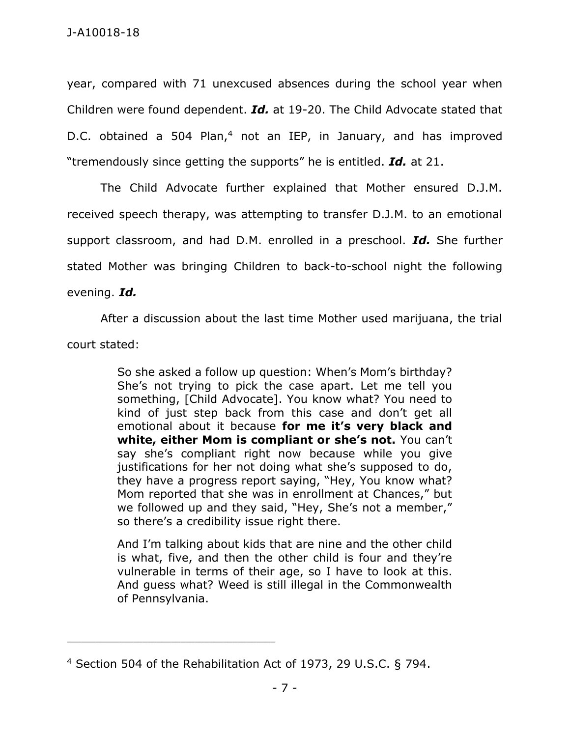year, compared with 71 unexcused absences during the school year when Children were found dependent. *Id.* at 19-20. The Child Advocate stated that D.C. obtained a 504 Plan,<sup>4</sup> not an IEP, in January, and has improved "tremendously since getting the supports" he is entitled. *Id.* at 21.

The Child Advocate further explained that Mother ensured D.J.M. received speech therapy, was attempting to transfer D.J.M. to an emotional support classroom, and had D.M. enrolled in a preschool. *Id.* She further stated Mother was bringing Children to back-to-school night the following evening. *Id.*

After a discussion about the last time Mother used marijuana, the trial court stated:

> So she asked a follow up question: When's Mom's birthday? She's not trying to pick the case apart. Let me tell you something, [Child Advocate]. You know what? You need to kind of just step back from this case and don't get all emotional about it because **for me it's very black and white, either Mom is compliant or she's not.** You can't say she's compliant right now because while you give justifications for her not doing what she's supposed to do, they have a progress report saying, "Hey, You know what? Mom reported that she was in enrollment at Chances," but we followed up and they said, "Hey, She's not a member," so there's a credibility issue right there.

> And I'm talking about kids that are nine and the other child is what, five, and then the other child is four and they're vulnerable in terms of their age, so I have to look at this. And guess what? Weed is still illegal in the Commonwealth of Pennsylvania.

<sup>4</sup> Section 504 of the Rehabilitation Act of 1973, 29 U.S.C. § 794.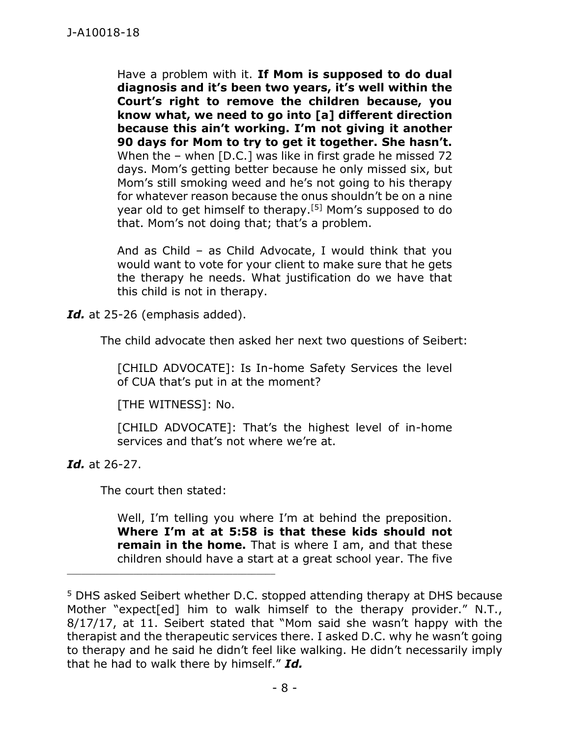Have a problem with it. **If Mom is supposed to do dual diagnosis and it's been two years, it's well within the Court's right to remove the children because, you know what, we need to go into [a] different direction because this ain't working. I'm not giving it another 90 days for Mom to try to get it together. She hasn't.** When the – when [D.C.] was like in first grade he missed 72 days. Mom's getting better because he only missed six, but Mom's still smoking weed and he's not going to his therapy for whatever reason because the onus shouldn't be on a nine year old to get himself to therapy.[5] Mom's supposed to do that. Mom's not doing that; that's a problem.

And as Child – as Child Advocate, I would think that you would want to vote for your client to make sure that he gets the therapy he needs. What justification do we have that this child is not in therapy.

*Id.* at 25-26 (emphasis added).

The child advocate then asked her next two questions of Seibert:

[CHILD ADVOCATE]: Is In-home Safety Services the level of CUA that's put in at the moment?

[THE WITNESS]: No.

[CHILD ADVOCATE]: That's the highest level of in-home services and that's not where we're at.

*Id.* at 26-27.

The court then stated:

Well, I'm telling you where I'm at behind the preposition. **Where I'm at at 5:58 is that these kids should not remain in the home.** That is where I am, and that these children should have a start at a great school year. The five

<sup>5</sup> DHS asked Seibert whether D.C. stopped attending therapy at DHS because Mother "expect[ed] him to walk himself to the therapy provider." N.T., 8/17/17, at 11. Seibert stated that "Mom said she wasn't happy with the therapist and the therapeutic services there. I asked D.C. why he wasn't going to therapy and he said he didn't feel like walking. He didn't necessarily imply that he had to walk there by himself." *Id.*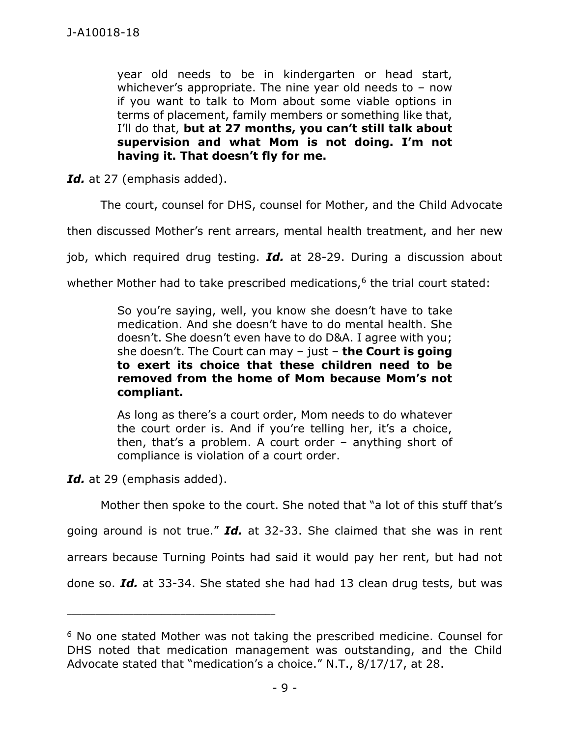year old needs to be in kindergarten or head start, whichever's appropriate. The nine year old needs to  $-$  now if you want to talk to Mom about some viable options in terms of placement, family members or something like that, I'll do that, **but at 27 months, you can't still talk about supervision and what Mom is not doing. I'm not having it. That doesn't fly for me.**

*Id.* at 27 (emphasis added).

The court, counsel for DHS, counsel for Mother, and the Child Advocate

then discussed Mother's rent arrears, mental health treatment, and her new

job, which required drug testing. *Id.* at 28-29. During a discussion about

whether Mother had to take prescribed medications, $6$  the trial court stated:

So you're saying, well, you know she doesn't have to take medication. And she doesn't have to do mental health. She doesn't. She doesn't even have to do D&A. I agree with you; she doesn't. The Court can may – just – **the Court is going to exert its choice that these children need to be removed from the home of Mom because Mom's not compliant.**

As long as there's a court order, Mom needs to do whatever the court order is. And if you're telling her, it's a choice, then, that's a problem. A court order – anything short of compliance is violation of a court order.

*Id.* at 29 (emphasis added).

\_\_\_\_\_\_\_\_\_\_\_\_\_\_\_\_\_\_\_\_\_\_\_\_\_\_\_\_\_\_\_\_\_\_\_\_\_\_\_\_\_\_\_\_

Mother then spoke to the court. She noted that "a lot of this stuff that's going around is not true." *Id.* at 32-33. She claimed that she was in rent arrears because Turning Points had said it would pay her rent, but had not done so. *Id.* at 33-34. She stated she had had 13 clean drug tests, but was

<sup>&</sup>lt;sup>6</sup> No one stated Mother was not taking the prescribed medicine. Counsel for DHS noted that medication management was outstanding, and the Child Advocate stated that "medication's a choice." N.T., 8/17/17, at 28.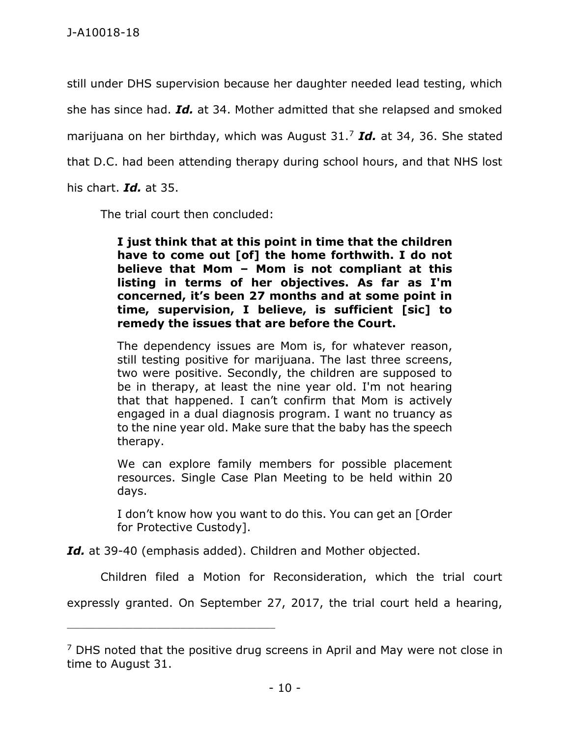still under DHS supervision because her daughter needed lead testing, which she has since had. *Id.* at 34. Mother admitted that she relapsed and smoked marijuana on her birthday, which was August 31.<sup>7</sup> *Id.* at 34, 36. She stated that D.C. had been attending therapy during school hours, and that NHS lost his chart. *Id.* at 35.

The trial court then concluded:

**I just think that at this point in time that the children have to come out [of] the home forthwith. I do not believe that Mom – Mom is not compliant at this listing in terms of her objectives. As far as I'm concerned, it's been 27 months and at some point in time, supervision, I believe, is sufficient [sic] to remedy the issues that are before the Court.**

The dependency issues are Mom is, for whatever reason, still testing positive for marijuana. The last three screens, two were positive. Secondly, the children are supposed to be in therapy, at least the nine year old. I'm not hearing that that happened. I can't confirm that Mom is actively engaged in a dual diagnosis program. I want no truancy as to the nine year old. Make sure that the baby has the speech therapy.

We can explore family members for possible placement resources. Single Case Plan Meeting to be held within 20 days.

I don't know how you want to do this. You can get an [Order for Protective Custody].

*Id.* at 39-40 (emphasis added). Children and Mother objected.

\_\_\_\_\_\_\_\_\_\_\_\_\_\_\_\_\_\_\_\_\_\_\_\_\_\_\_\_\_\_\_\_\_\_\_\_\_\_\_\_\_\_\_\_

Children filed a Motion for Reconsideration, which the trial court

expressly granted. On September 27, 2017, the trial court held a hearing,

 $<sup>7</sup>$  DHS noted that the positive drug screens in April and May were not close in</sup> time to August 31.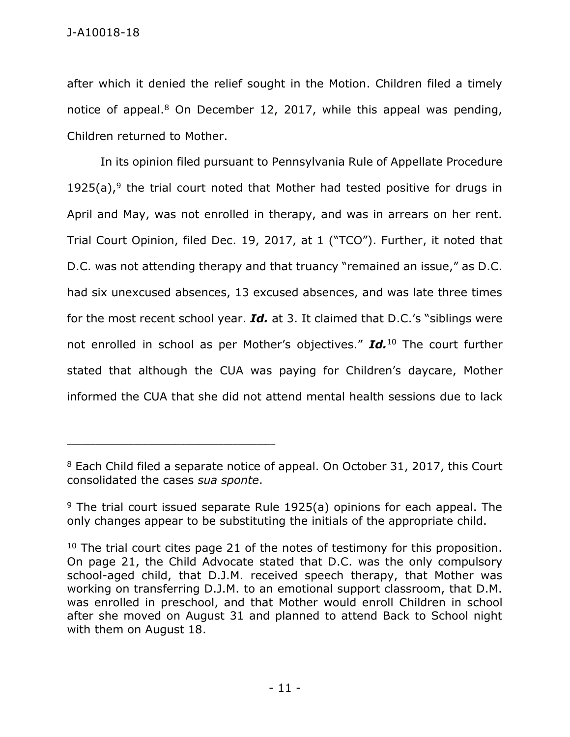after which it denied the relief sought in the Motion. Children filed a timely notice of appeal.<sup>8</sup> On December 12, 2017, while this appeal was pending, Children returned to Mother.

In its opinion filed pursuant to Pennsylvania Rule of Appellate Procedure  $1925(a)$ ,<sup>9</sup> the trial court noted that Mother had tested positive for drugs in April and May, was not enrolled in therapy, and was in arrears on her rent. Trial Court Opinion, filed Dec. 19, 2017, at 1 ("TCO"). Further, it noted that D.C. was not attending therapy and that truancy "remained an issue," as D.C. had six unexcused absences, 13 excused absences, and was late three times for the most recent school year. *Id.* at 3. It claimed that D.C.'s "siblings were not enrolled in school as per Mother's objectives." *Id.*<sup>10</sup> The court further stated that although the CUA was paying for Children's daycare, Mother informed the CUA that she did not attend mental health sessions due to lack

 $8$  Each Child filed a separate notice of appeal. On October 31, 2017, this Court consolidated the cases *sua sponte*.

 $9$  The trial court issued separate Rule 1925(a) opinions for each appeal. The only changes appear to be substituting the initials of the appropriate child.

 $10$  The trial court cites page 21 of the notes of testimony for this proposition. On page 21, the Child Advocate stated that D.C. was the only compulsory school-aged child, that D.J.M. received speech therapy, that Mother was working on transferring D.J.M. to an emotional support classroom, that D.M. was enrolled in preschool, and that Mother would enroll Children in school after she moved on August 31 and planned to attend Back to School night with them on August 18.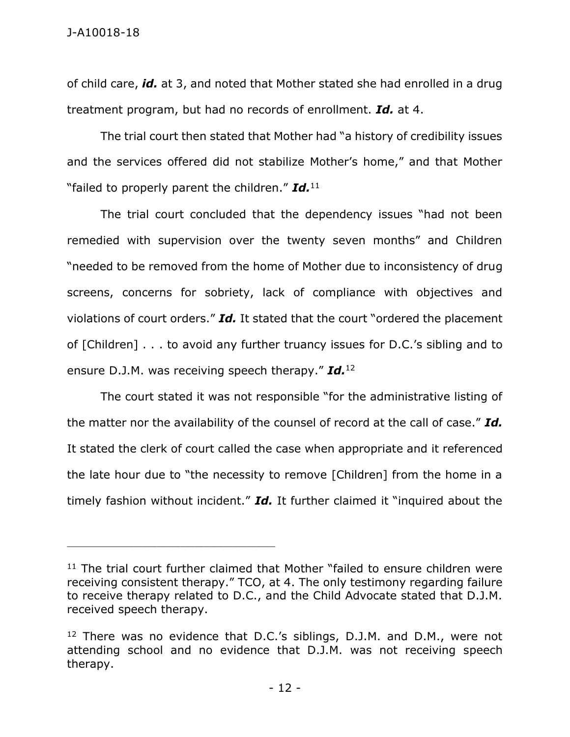of child care, *id.* at 3, and noted that Mother stated she had enrolled in a drug treatment program, but had no records of enrollment. *Id.* at 4.

The trial court then stated that Mother had "a history of credibility issues and the services offered did not stabilize Mother's home," and that Mother "failed to properly parent the children." *Id.*<sup>11</sup>

The trial court concluded that the dependency issues "had not been remedied with supervision over the twenty seven months" and Children "needed to be removed from the home of Mother due to inconsistency of drug screens, concerns for sobriety, lack of compliance with objectives and violations of court orders." *Id.* It stated that the court "ordered the placement of [Children] . . . to avoid any further truancy issues for D.C.'s sibling and to ensure D.J.M. was receiving speech therapy." *Id.*<sup>12</sup>

The court stated it was not responsible "for the administrative listing of the matter nor the availability of the counsel of record at the call of case." *Id.* It stated the clerk of court called the case when appropriate and it referenced the late hour due to "the necessity to remove [Children] from the home in a timely fashion without incident." *Id.* It further claimed it "inquired about the

<sup>&</sup>lt;sup>11</sup> The trial court further claimed that Mother "failed to ensure children were receiving consistent therapy." TCO, at 4. The only testimony regarding failure to receive therapy related to D.C., and the Child Advocate stated that D.J.M. received speech therapy.

 $12$  There was no evidence that D.C.'s siblings, D.J.M. and D.M., were not attending school and no evidence that D.J.M. was not receiving speech therapy.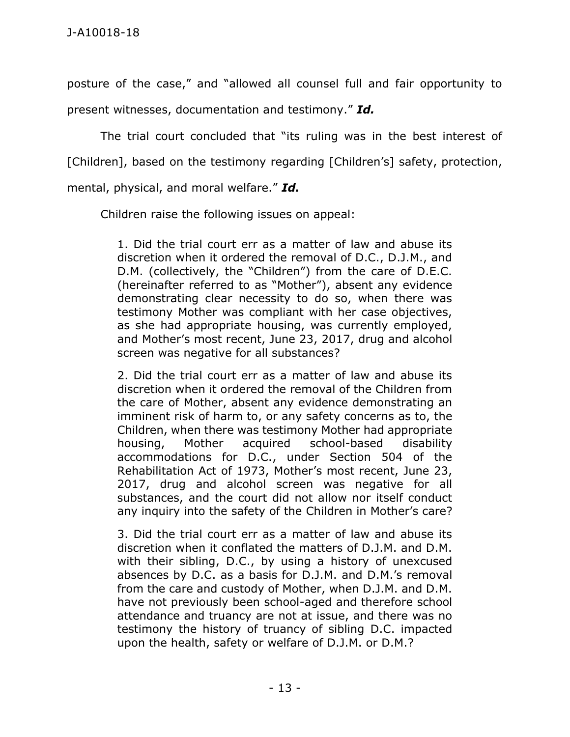posture of the case," and "allowed all counsel full and fair opportunity to present witnesses, documentation and testimony." *Id.*

The trial court concluded that "its ruling was in the best interest of [Children], based on the testimony regarding [Children's] safety, protection, mental, physical, and moral welfare." *Id.*

Children raise the following issues on appeal:

1. Did the trial court err as a matter of law and abuse its discretion when it ordered the removal of D.C., D.J.M., and D.M. (collectively, the "Children") from the care of D.E.C. (hereinafter referred to as "Mother"), absent any evidence demonstrating clear necessity to do so, when there was testimony Mother was compliant with her case objectives, as she had appropriate housing, was currently employed, and Mother's most recent, June 23, 2017, drug and alcohol screen was negative for all substances?

2. Did the trial court err as a matter of law and abuse its discretion when it ordered the removal of the Children from the care of Mother, absent any evidence demonstrating an imminent risk of harm to, or any safety concerns as to, the Children, when there was testimony Mother had appropriate housing, Mother acquired school-based disability accommodations for D.C., under Section 504 of the Rehabilitation Act of 1973, Mother's most recent, June 23, 2017, drug and alcohol screen was negative for all substances, and the court did not allow nor itself conduct any inquiry into the safety of the Children in Mother's care?

3. Did the trial court err as a matter of law and abuse its discretion when it conflated the matters of D.J.M. and D.M. with their sibling, D.C., by using a history of unexcused absences by D.C. as a basis for D.J.M. and D.M.'s removal from the care and custody of Mother, when D.J.M. and D.M. have not previously been school-aged and therefore school attendance and truancy are not at issue, and there was no testimony the history of truancy of sibling D.C. impacted upon the health, safety or welfare of D.J.M. or D.M.?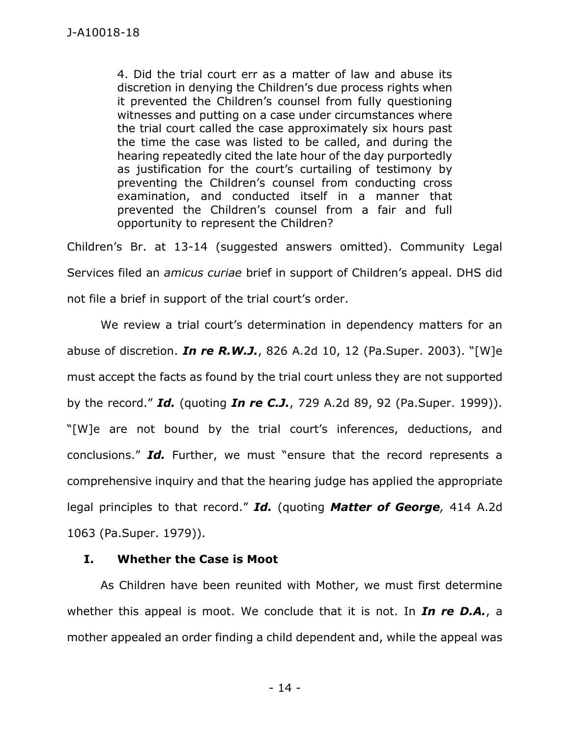4. Did the trial court err as a matter of law and abuse its discretion in denying the Children's due process rights when it prevented the Children's counsel from fully questioning witnesses and putting on a case under circumstances where the trial court called the case approximately six hours past the time the case was listed to be called, and during the hearing repeatedly cited the late hour of the day purportedly as justification for the court's curtailing of testimony by preventing the Children's counsel from conducting cross examination, and conducted itself in a manner that prevented the Children's counsel from a fair and full opportunity to represent the Children?

Children's Br. at 13-14 (suggested answers omitted). Community Legal Services filed an *amicus curiae* brief in support of Children's appeal. DHS did not file a brief in support of the trial court's order.

We review a trial court's determination in dependency matters for an abuse of discretion. *In re R.W.J.*, 826 A.2d 10, 12 (Pa.Super. 2003). "[W]e must accept the facts as found by the trial court unless they are not supported by the record." *Id.* (quoting *In re C.J.*, 729 A.2d 89, 92 (Pa.Super. 1999)). "[W]e are not bound by the trial court's inferences, deductions, and conclusions." *Id.* Further, we must "ensure that the record represents a comprehensive inquiry and that the hearing judge has applied the appropriate legal principles to that record." *Id.* (quoting *Matter of George,* 414 A.2d 1063 (Pa.Super. 1979)).

#### **I. Whether the Case is Moot**

As Children have been reunited with Mother, we must first determine whether this appeal is moot. We conclude that it is not. In *In re D.A.*, a mother appealed an order finding a child dependent and, while the appeal was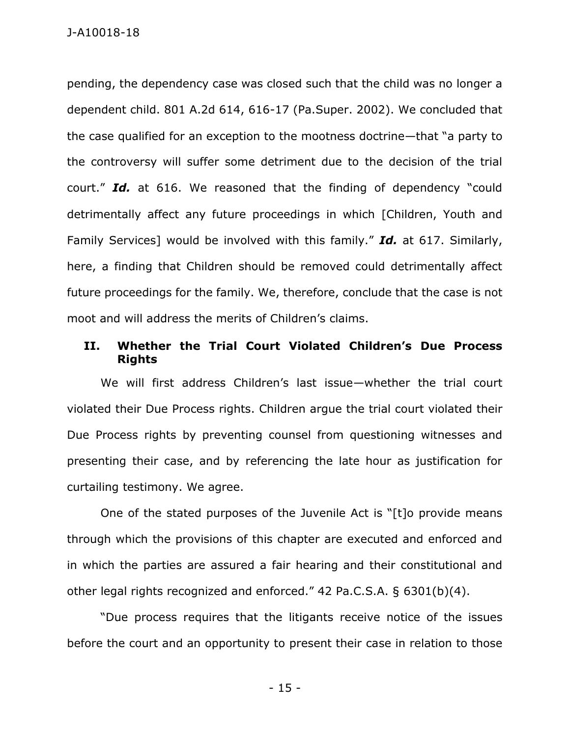pending, the dependency case was closed such that the child was no longer a dependent child. 801 A.2d 614, 616-17 (Pa.Super. 2002). We concluded that the case qualified for an exception to the mootness doctrine—that "a party to the controversy will suffer some detriment due to the decision of the trial court." *Id.* at 616. We reasoned that the finding of dependency "could detrimentally affect any future proceedings in which [Children, Youth and Family Services] would be involved with this family." *Id.* at 617. Similarly, here, a finding that Children should be removed could detrimentally affect future proceedings for the family. We, therefore, conclude that the case is not moot and will address the merits of Children's claims.

### **II. Whether the Trial Court Violated Children's Due Process Rights**

We will first address Children's last issue—whether the trial court violated their Due Process rights. Children argue the trial court violated their Due Process rights by preventing counsel from questioning witnesses and presenting their case, and by referencing the late hour as justification for curtailing testimony. We agree.

One of the stated purposes of the Juvenile Act is "[t]o provide means through which the provisions of this chapter are executed and enforced and in which the parties are assured a fair hearing and their constitutional and other legal rights recognized and enforced." 42 Pa.C.S.A. § 6301(b)(4).

"Due process requires that the litigants receive notice of the issues before the court and an opportunity to present their case in relation to those

- 15 -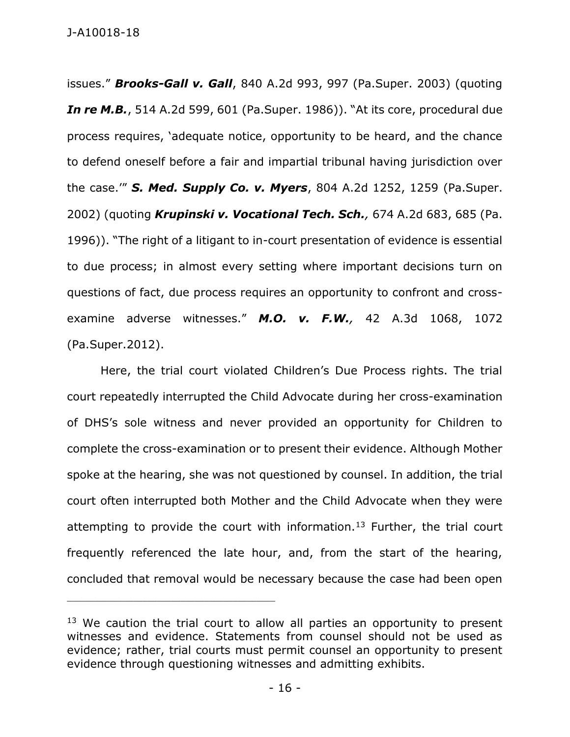issues." *Brooks-Gall v. Gall*, 840 A.2d 993, 997 (Pa.Super. 2003) (quoting *In re M.B.*, 514 A.2d 599, 601 (Pa.Super. 1986)). "At its core, procedural due process requires, 'adequate notice, opportunity to be heard, and the chance to defend oneself before a fair and impartial tribunal having jurisdiction over the case.'" *S. Med. Supply Co. v. Myers*, 804 A.2d 1252, 1259 (Pa.Super. 2002) (quoting *Krupinski v. Vocational Tech. Sch.,* 674 A.2d 683, 685 (Pa. 1996)). "The right of a litigant to in-court presentation of evidence is essential to due process; in almost every setting where important decisions turn on questions of fact, due process requires an opportunity to confront and crossexamine adverse witnesses." *M.O. v. F.W.,* 42 A.3d 1068, 1072 (Pa.Super.2012).

Here, the trial court violated Children's Due Process rights. The trial court repeatedly interrupted the Child Advocate during her cross-examination of DHS's sole witness and never provided an opportunity for Children to complete the cross-examination or to present their evidence. Although Mother spoke at the hearing, she was not questioned by counsel. In addition, the trial court often interrupted both Mother and the Child Advocate when they were attempting to provide the court with information.<sup>13</sup> Further, the trial court frequently referenced the late hour, and, from the start of the hearing, concluded that removal would be necessary because the case had been open

 $13$  We caution the trial court to allow all parties an opportunity to present witnesses and evidence. Statements from counsel should not be used as evidence; rather, trial courts must permit counsel an opportunity to present evidence through questioning witnesses and admitting exhibits.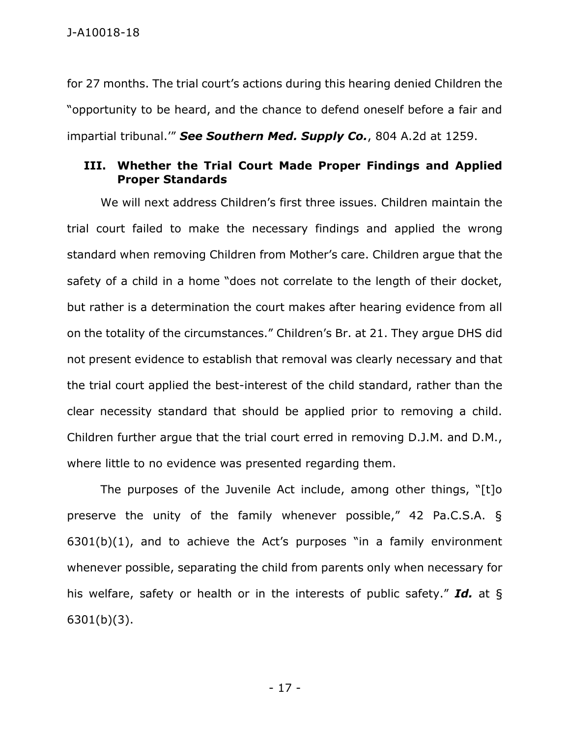J-A10018-18

for 27 months. The trial court's actions during this hearing denied Children the "opportunity to be heard, and the chance to defend oneself before a fair and impartial tribunal.'" *See Southern Med. Supply Co.*, 804 A.2d at 1259.

#### **III. Whether the Trial Court Made Proper Findings and Applied Proper Standards**

We will next address Children's first three issues. Children maintain the trial court failed to make the necessary findings and applied the wrong standard when removing Children from Mother's care. Children argue that the safety of a child in a home "does not correlate to the length of their docket, but rather is a determination the court makes after hearing evidence from all on the totality of the circumstances." Children's Br. at 21. They argue DHS did not present evidence to establish that removal was clearly necessary and that the trial court applied the best-interest of the child standard, rather than the clear necessity standard that should be applied prior to removing a child. Children further argue that the trial court erred in removing D.J.M. and D.M., where little to no evidence was presented regarding them.

The purposes of the Juvenile Act include, among other things, "[t]o preserve the unity of the family whenever possible," 42 Pa.C.S.A. §  $6301(b)(1)$ , and to achieve the Act's purposes "in a family environment whenever possible, separating the child from parents only when necessary for his welfare, safety or health or in the interests of public safety." *Id.* at § 6301(b)(3).

- 17 -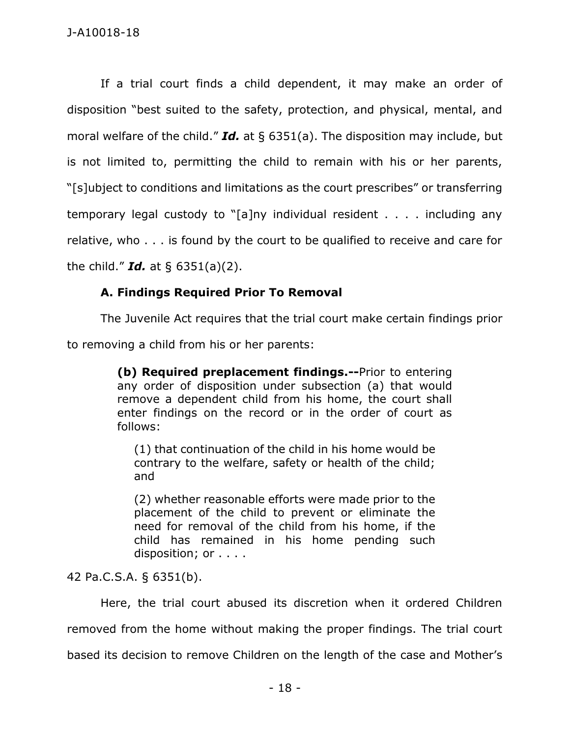If a trial court finds a child dependent, it may make an order of disposition "best suited to the safety, protection, and physical, mental, and moral welfare of the child." *Id.* at § 6351(a). The disposition may include, but is not limited to, permitting the child to remain with his or her parents, "[s]ubject to conditions and limitations as the court prescribes" or transferring temporary legal custody to "[a]ny individual resident . . . . including any relative, who . . . is found by the court to be qualified to receive and care for the child." *Id.* at § 6351(a)(2).

# **A. Findings Required Prior To Removal**

The Juvenile Act requires that the trial court make certain findings prior to removing a child from his or her parents:

> **(b) Required preplacement findings.--**Prior to entering any order of disposition under subsection (a) that would remove a dependent child from his home, the court shall enter findings on the record or in the order of court as follows:

(1) that continuation of the child in his home would be contrary to the welfare, safety or health of the child; and

(2) whether reasonable efforts were made prior to the placement of the child to prevent or eliminate the need for removal of the child from his home, if the child has remained in his home pending such disposition; or . . . .

42 Pa.C.S.A. § 6351(b).

Here, the trial court abused its discretion when it ordered Children removed from the home without making the proper findings. The trial court based its decision to remove Children on the length of the case and Mother's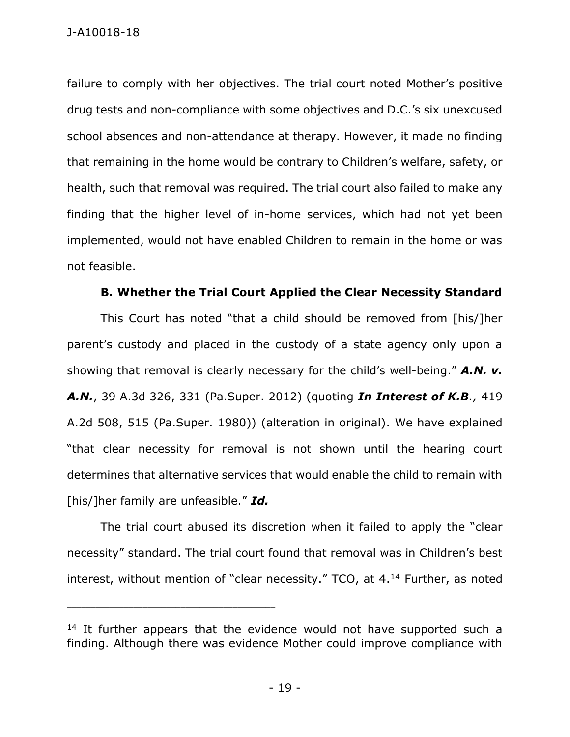failure to comply with her objectives. The trial court noted Mother's positive drug tests and non-compliance with some objectives and D.C.'s six unexcused school absences and non-attendance at therapy. However, it made no finding that remaining in the home would be contrary to Children's welfare, safety, or health, such that removal was required. The trial court also failed to make any finding that the higher level of in-home services, which had not yet been implemented, would not have enabled Children to remain in the home or was not feasible.

#### **B. Whether the Trial Court Applied the Clear Necessity Standard**

This Court has noted "that a child should be removed from [his/]her parent's custody and placed in the custody of a state agency only upon a showing that removal is clearly necessary for the child's well-being." *A.N. v. A.N.*, 39 A.3d 326, 331 (Pa.Super. 2012) (quoting *In Interest of K.B.,* 419 A.2d 508, 515 (Pa.Super. 1980)) (alteration in original). We have explained "that clear necessity for removal is not shown until the hearing court determines that alternative services that would enable the child to remain with [his/]her family are unfeasible." *Id.*

The trial court abused its discretion when it failed to apply the "clear necessity" standard. The trial court found that removal was in Children's best interest, without mention of "clear necessity." TCO, at 4.<sup>14</sup> Further, as noted

 $14$  It further appears that the evidence would not have supported such a finding. Although there was evidence Mother could improve compliance with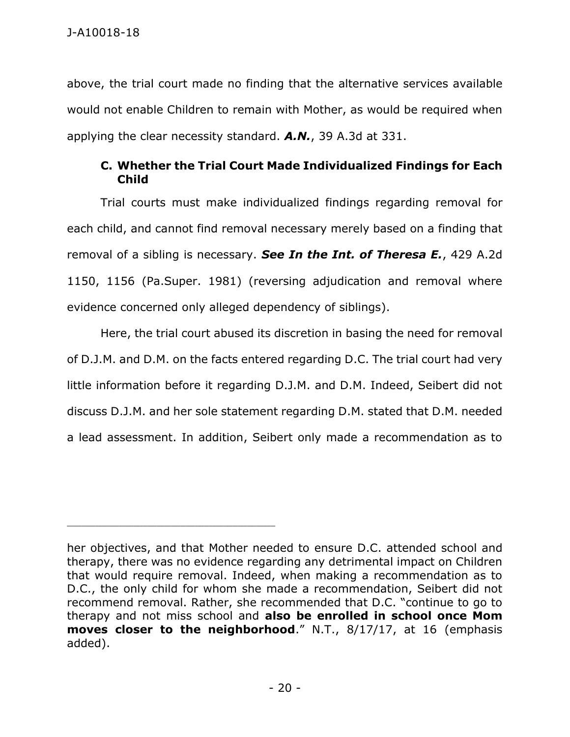above, the trial court made no finding that the alternative services available would not enable Children to remain with Mother, as would be required when applying the clear necessity standard. *A.N.*, 39 A.3d at 331.

## **C. Whether the Trial Court Made Individualized Findings for Each Child**

Trial courts must make individualized findings regarding removal for each child, and cannot find removal necessary merely based on a finding that removal of a sibling is necessary. *See In the Int. of Theresa E.*, 429 A.2d 1150, 1156 (Pa.Super. 1981) (reversing adjudication and removal where evidence concerned only alleged dependency of siblings).

Here, the trial court abused its discretion in basing the need for removal of D.J.M. and D.M. on the facts entered regarding D.C. The trial court had very little information before it regarding D.J.M. and D.M. Indeed, Seibert did not discuss D.J.M. and her sole statement regarding D.M. stated that D.M. needed a lead assessment. In addition, Seibert only made a recommendation as to

her objectives, and that Mother needed to ensure D.C. attended school and therapy, there was no evidence regarding any detrimental impact on Children that would require removal. Indeed, when making a recommendation as to D.C., the only child for whom she made a recommendation, Seibert did not recommend removal. Rather, she recommended that D.C. "continue to go to therapy and not miss school and **also be enrolled in school once Mom moves closer to the neighborhood**." N.T., 8/17/17, at 16 (emphasis added).